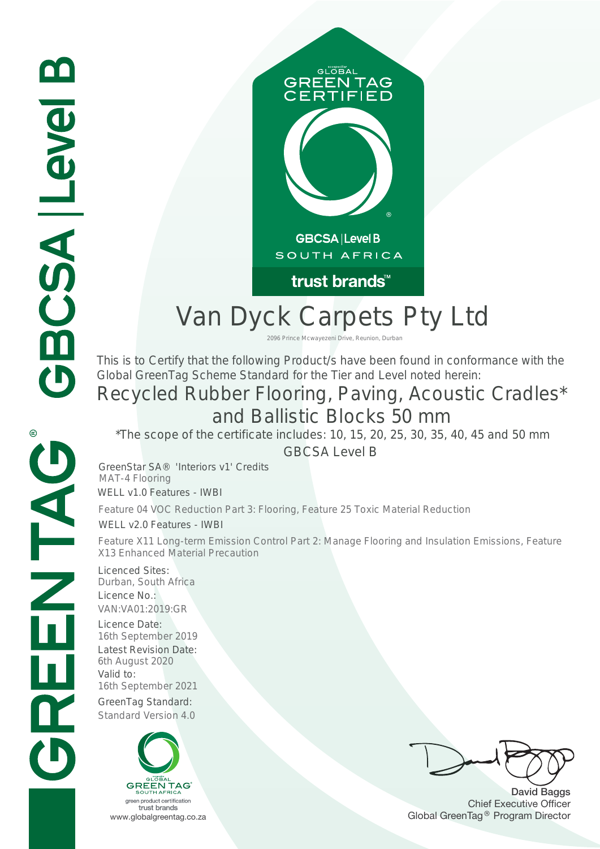

## Van Dyck Carpets Pty Ltd

<sup>2096 Prince Mcwayezeni Drive, Reunion, Durban<br>This is to Certify that the following Product/s have been found in conformance with the</sup> Global GreenTag Scheme Standard for the Tier and Level noted herein:

# Recycled Rubber Flooring, Paving, Acoustic Cradles\* and Ballistic Blocks 50 mm Standard Version 4.0 6th August 2020 Latest Revision Date: 2096 Prince Mcwayezeni Drive, Reunion, Durban

 $*$ The scope of the certificate includes: 10, 15, 20, 25, 30, 35, 40, 45 and 50 mm

GBCSA Level B  $\sum_{i=1}^{n}$ 

 $\sum_{i=1}^{n}$   $\sum_{j=1}^{n}$   $\sum_{j=1}^{n}$   $\sum_{j=1}^{n}$ GreenStar SA® 'Interiors v1' Credits  $\frac{1}{2}$   $\frac{1}{2}$   $\frac{1}{2}$   $\frac{1}{2}$   $\frac{1}{2}$   $\frac{1}{2}$   $\frac{1}{2}$   $\frac{1}{2}$   $\frac{1}{2}$   $\frac{1}{2}$   $\frac{1}{2}$   $\frac{1}{2}$   $\frac{1}{2}$   $\frac{1}{2}$   $\frac{1}{2}$   $\frac{1}{2}$   $\frac{1}{2}$   $\frac{1}{2}$   $\frac{1}{2}$   $\frac{1}{2}$   $\frac{1}{2}$   $\frac{1}{2}$   $WELL V1.0$  Features - IWBI MAT-4 Flooring

WELL v2.0 Features - IWBI Feature 04 VOC Reduction Part 3: Flooring, Feature 25 Toxic Material Reduction WELL v1.0 Features - IWBI<br>Feature 04 VOC Reduction Part 3: Flooring, Feature 25 Toxic Material Reduction<br>WELL v2.0 Features - IWBI<br>Feature X11 Long-term Emission Control Part 2: Manage Flooring and Insulation<br>X13 Enhanced

 $M_{\rm Edd}$  recycled Content and  $M_{\rm Edd}$ Feature X11 Long-term Emission Control Part 2: Manage Flooring and Insulation Emissions, Feature **X13 Enhanced Material Precaution** 

Juliuali, Juditi A Licence No.: Licence No.: VAN:VA01:2019:GR  $P$  and  $P$  are  $P$  are  $P$  are  $P$ Licenced Sites: Durban, South Africa

Licence Date: Licence Date: 16th September 2019 6th August 2020 GreenTag Standard version: Licence Date: Latest Revision Date: valid to:<br>16th September 2021 Valid to:

GreenTag Standard:



 $\Gamma$  Extra copy can go in  $\Gamma$ 

David Baggs Chief Executive Officer www.globalgreentag.co.za **Program Director** Clobal GreenTag<sup>®</sup> Program Director

**ONTENTAC**